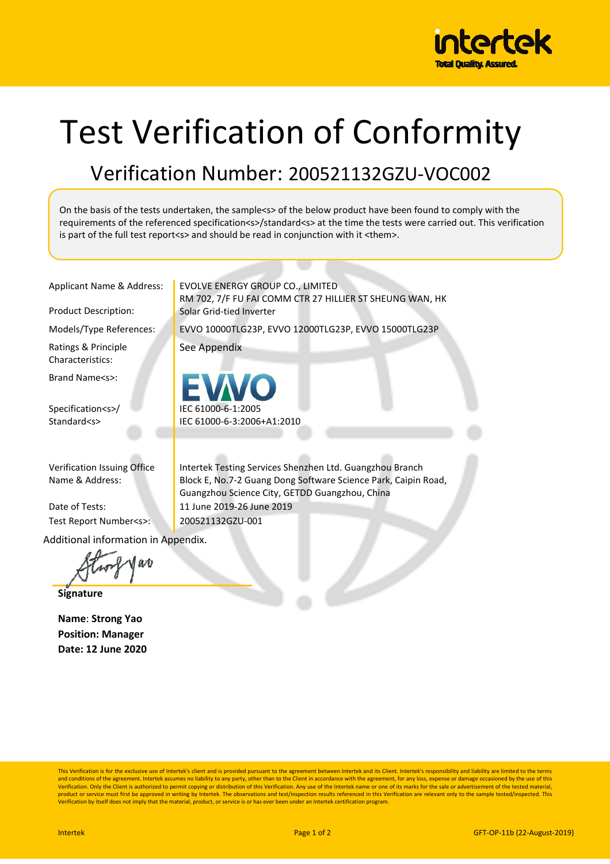

## Test Verification of Conformity

## Verification Number: 200521132GZU-VOC002

On the basis of the tests undertaken, the sample<s> of the below product have been found to comply with the requirements of the referenced specification<s>/standard<s> at the time the tests were carried out. This verification is part of the full test report<s> and should be read in conjunction with it <them>.

Ratings & Principle Characteristics:

Brand Name<s>:

Specification<s>/ Standard<s>

Verification Issuing Office Name & Address:

Test Report Number<s>: 200521132GZU-001

Additional information in Appendix.

at

**Signature** 

**Name**: **Strong Yao Position: Manager Date: 12 June 2020** 

Applicant Name & Address: | EVOLVE ENERGY GROUP CO., LIMITED RM 702, 7/F FU FAI COMM CTR 27 HILLIER ST SHEUNG WAN, HK Product Description: Solar Grid-tied Inverter

Models/Type References: EVVO 10000TLG23P, EVVO 12000TLG23P, EVVO 15000TLG23P

See Appendix

IEC 61000-6-1:2005 IEC 61000-6-3:2006+A1:2010

Intertek Testing Services Shenzhen Ltd. Guangzhou Branch Block E, No.7-2 Guang Dong Software Science Park, Caipin Road, Guangzhou Science City, GETDD Guangzhou, China Date of Tests: 11 June 2019-26 June 2019

This Verification is for the exclusive use of Intertek's client and is provided pursuant to the agreement between Intertek and its Client. Intertek's responsibility and liability are limited to the terms and conditions of the agreement. Intertek assumes no liability to any party, other than to the Client in accordance with the agreement, for any loss, expense or damage occasioned by the use of this<br>Verification. Only the C product or service must first be approved in writing by Intertek. The observations and test/inspection results referenced in this Verification are relevant only to the sample tested/inspected. This<br>Verification by itself d